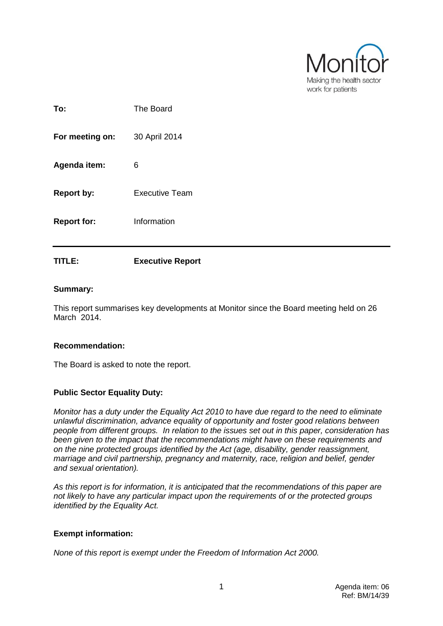

| To:                | The Board             |
|--------------------|-----------------------|
| For meeting on:    | 30 April 2014         |
| Agenda item:       | 6                     |
| <b>Report by:</b>  | <b>Executive Team</b> |
| <b>Report for:</b> | Information           |
|                    |                       |

### **Summary:**

This report summarises key developments at Monitor since the Board meeting held on 26 March 2014.

### **Recommendation:**

The Board is asked to note the report.

**TITLE: Executive Report**

#### **Public Sector Equality Duty:**

*Monitor has a duty under the Equality Act 2010 to have due regard to the need to eliminate unlawful discrimination, advance equality of opportunity and foster good relations between people from different groups. In relation to the issues set out in this paper, consideration has been given to the impact that the recommendations might have on these requirements and on the nine protected groups identified by the Act (age, disability, gender reassignment, marriage and civil partnership, pregnancy and maternity, race, religion and belief, gender and sexual orientation).*

*As this report is for information, it is anticipated that the recommendations of this paper are not likely to have any particular impact upon the requirements of or the protected groups identified by the Equality Act.*

#### **Exempt information:**

*None of this report is exempt under the Freedom of Information Act 2000.*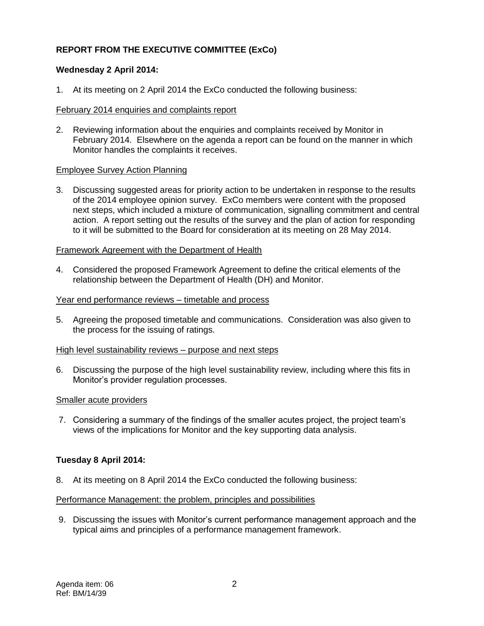# **REPORT FROM THE EXECUTIVE COMMITTEE (ExCo)**

# **Wednesday 2 April 2014:**

1. At its meeting on 2 April 2014 the ExCo conducted the following business:

### February 2014 enquiries and complaints report

2. Reviewing information about the enquiries and complaints received by Monitor in February 2014. Elsewhere on the agenda a report can be found on the manner in which Monitor handles the complaints it receives.

### Employee Survey Action Planning

3. Discussing suggested areas for priority action to be undertaken in response to the results of the 2014 employee opinion survey. ExCo members were content with the proposed next steps, which included a mixture of communication, signalling commitment and central action. A report setting out the results of the survey and the plan of action for responding to it will be submitted to the Board for consideration at its meeting on 28 May 2014.

### Framework Agreement with the Department of Health

4. Considered the proposed Framework Agreement to define the critical elements of the relationship between the Department of Health (DH) and Monitor.

### Year end performance reviews – timetable and process

5. Agreeing the proposed timetable and communications. Consideration was also given to the process for the issuing of ratings.

#### High level sustainability reviews – purpose and next steps

6. Discussing the purpose of the high level sustainability review, including where this fits in Monitor's provider regulation processes.

#### Smaller acute providers

7. Considering a summary of the findings of the smaller acutes project, the project team's views of the implications for Monitor and the key supporting data analysis.

# **Tuesday 8 April 2014:**

8. At its meeting on 8 April 2014 the ExCo conducted the following business:

#### Performance Management: the problem, principles and possibilities

9. Discussing the issues with Monitor's current performance management approach and the typical aims and principles of a performance management framework.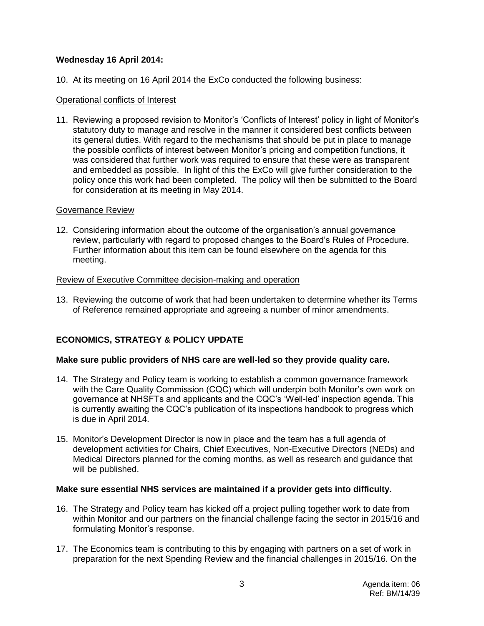# **Wednesday 16 April 2014:**

10. At its meeting on 16 April 2014 the ExCo conducted the following business:

### Operational conflicts of Interest

11. Reviewing a proposed revision to Monitor's 'Conflicts of Interest' policy in light of Monitor's statutory duty to manage and resolve in the manner it considered best conflicts between its general duties. With regard to the mechanisms that should be put in place to manage the possible conflicts of interest between Monitor's pricing and competition functions, it was considered that further work was required to ensure that these were as transparent and embedded as possible. In light of this the ExCo will give further consideration to the policy once this work had been completed. The policy will then be submitted to the Board for consideration at its meeting in May 2014.

#### Governance Review

12. Considering information about the outcome of the organisation's annual governance review, particularly with regard to proposed changes to the Board's Rules of Procedure. Further information about this item can be found elsewhere on the agenda for this meeting.

### Review of Executive Committee decision-making and operation

13. Reviewing the outcome of work that had been undertaken to determine whether its Terms of Reference remained appropriate and agreeing a number of minor amendments.

# **ECONOMICS, STRATEGY & POLICY UPDATE**

#### **Make sure public providers of NHS care are well-led so they provide quality care.**

- 14. The Strategy and Policy team is working to establish a common governance framework with the Care Quality Commission (CQC) which will underpin both Monitor's own work on governance at NHSFTs and applicants and the CQC's 'Well-led' inspection agenda. This is currently awaiting the CQC's publication of its inspections handbook to progress which is due in April 2014.
- 15. Monitor's Development Director is now in place and the team has a full agenda of development activities for Chairs, Chief Executives, Non-Executive Directors (NEDs) and Medical Directors planned for the coming months, as well as research and guidance that will be published.

# **Make sure essential NHS services are maintained if a provider gets into difficulty.**

- 16. The Strategy and Policy team has kicked off a project pulling together work to date from within Monitor and our partners on the financial challenge facing the sector in 2015/16 and formulating Monitor's response.
- 17. The Economics team is contributing to this by engaging with partners on a set of work in preparation for the next Spending Review and the financial challenges in 2015/16. On the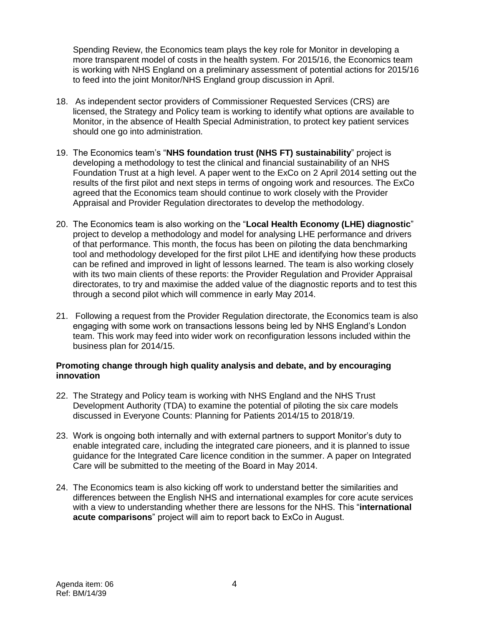Spending Review, the Economics team plays the key role for Monitor in developing a more transparent model of costs in the health system. For 2015/16, the Economics team is working with NHS England on a preliminary assessment of potential actions for 2015/16 to feed into the joint Monitor/NHS England group discussion in April.

- 18. As independent sector providers of Commissioner Requested Services (CRS) are licensed, the Strategy and Policy team is working to identify what options are available to Monitor, in the absence of Health Special Administration, to protect key patient services should one go into administration.
- 19. The Economics team's "**NHS foundation trust (NHS FT) sustainability**" project is developing a methodology to test the clinical and financial sustainability of an NHS Foundation Trust at a high level. A paper went to the ExCo on 2 April 2014 setting out the results of the first pilot and next steps in terms of ongoing work and resources. The ExCo agreed that the Economics team should continue to work closely with the Provider Appraisal and Provider Regulation directorates to develop the methodology.
- 20. The Economics team is also working on the "**Local Health Economy (LHE) diagnostic**" project to develop a methodology and model for analysing LHE performance and drivers of that performance. This month, the focus has been on piloting the data benchmarking tool and methodology developed for the first pilot LHE and identifying how these products can be refined and improved in light of lessons learned. The team is also working closely with its two main clients of these reports: the Provider Regulation and Provider Appraisal directorates, to try and maximise the added value of the diagnostic reports and to test this through a second pilot which will commence in early May 2014.
- 21. Following a request from the Provider Regulation directorate, the Economics team is also engaging with some work on transactions lessons being led by NHS England's London team. This work may feed into wider work on reconfiguration lessons included within the business plan for 2014/15.

# **Promoting change through high quality analysis and debate, and by encouraging innovation**

- 22. The Strategy and Policy team is working with NHS England and the NHS Trust Development Authority (TDA) to examine the potential of piloting the six care models discussed in Everyone Counts: Planning for Patients 2014/15 to 2018/19.
- 23. Work is ongoing both internally and with external partners to support Monitor's duty to enable integrated care, including the integrated care pioneers, and it is planned to issue guidance for the Integrated Care licence condition in the summer. A paper on Integrated Care will be submitted to the meeting of the Board in May 2014.
- 24. The Economics team is also kicking off work to understand better the similarities and differences between the English NHS and international examples for core acute services with a view to understanding whether there are lessons for the NHS. This "**international acute comparisons**" project will aim to report back to ExCo in August.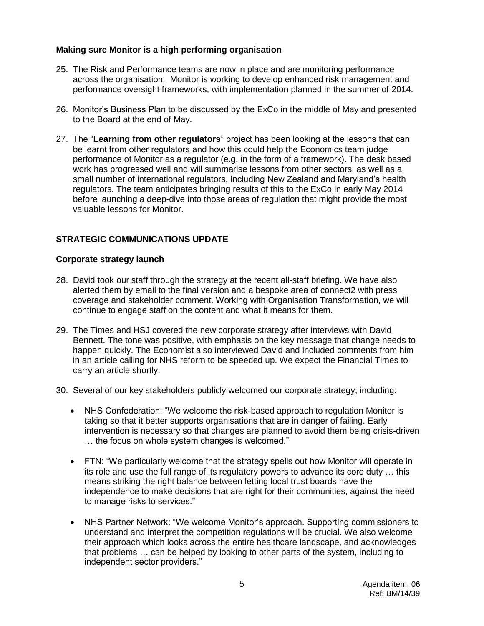# **Making sure Monitor is a high performing organisation**

- 25. The Risk and Performance teams are now in place and are monitoring performance across the organisation. Monitor is working to develop enhanced risk management and performance oversight frameworks, with implementation planned in the summer of 2014.
- 26. Monitor's Business Plan to be discussed by the ExCo in the middle of May and presented to the Board at the end of May.
- 27. The "**Learning from other regulators**" project has been looking at the lessons that can be learnt from other regulators and how this could help the Economics team judge performance of Monitor as a regulator (e.g. in the form of a framework). The desk based work has progressed well and will summarise lessons from other sectors, as well as a small number of international regulators, including New Zealand and Maryland's health regulators. The team anticipates bringing results of this to the ExCo in early May 2014 before launching a deep-dive into those areas of regulation that might provide the most valuable lessons for Monitor.

# **STRATEGIC COMMUNICATIONS UPDATE**

### **Corporate strategy launch**

- 28. David took our staff through the strategy at the recent all-staff briefing. We have also alerted them by email to the final version and a bespoke area of connect2 with press coverage and stakeholder comment. Working with Organisation Transformation, we will continue to engage staff on the content and what it means for them.
- 29. The Times and HSJ covered the new corporate strategy after interviews with David Bennett. The tone was positive, with emphasis on the key message that change needs to happen quickly. The Economist also interviewed David and included comments from him in an article calling for NHS reform to be speeded up. We expect the Financial Times to carry an article shortly.
- 30. Several of our key stakeholders publicly welcomed our corporate strategy, including:
	- NHS Confederation: "We welcome the risk-based approach to regulation Monitor is taking so that it better supports organisations that are in danger of failing. Early intervention is necessary so that changes are planned to avoid them being crisis-driven … the focus on whole system changes is welcomed."
	- FTN: "We particularly welcome that the strategy spells out how Monitor will operate in its role and use the full range of its regulatory powers to advance its core duty … this means striking the right balance between letting local trust boards have the independence to make decisions that are right for their communities, against the need to manage risks to services."
	- NHS Partner Network: "We welcome Monitor's approach. Supporting commissioners to understand and interpret the competition regulations will be crucial. We also welcome their approach which looks across the entire healthcare landscape, and acknowledges that problems … can be helped by looking to other parts of the system, including to independent sector providers."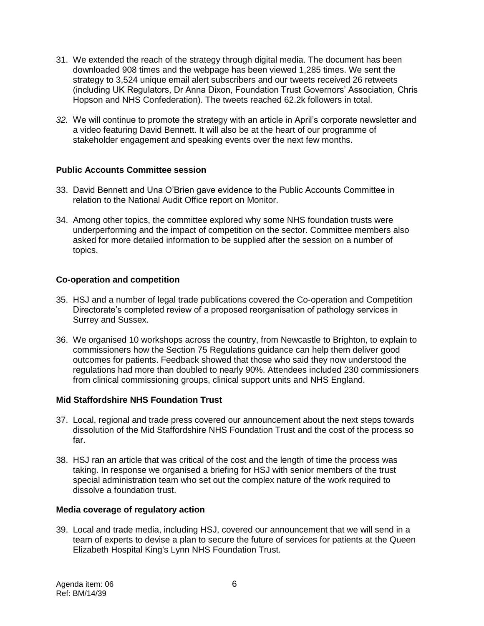- 31. We extended the reach of the strategy through digital media. The document has been downloaded 908 times and the webpage has been viewed 1,285 times. We sent the strategy to 3,524 unique email alert subscribers and our tweets received 26 retweets (including UK Regulators, Dr Anna Dixon, Foundation Trust Governors' Association, Chris Hopson and NHS Confederation). The tweets reached 62.2k followers in total.
- *32.* We will continue to promote the strategy with an article in April's corporate newsletter and a video featuring David Bennett. It will also be at the heart of our programme of stakeholder engagement and speaking events over the next few months.

# **Public Accounts Committee session**

- 33. David Bennett and Una O'Brien gave evidence to the Public Accounts Committee in relation to the National Audit Office report on Monitor.
- 34. Among other topics, the committee explored why some NHS foundation trusts were underperforming and the impact of competition on the sector. Committee members also asked for more detailed information to be supplied after the session on a number of topics.

# **Co-operation and competition**

- 35. HSJ and a number of legal trade publications covered the Co-operation and Competition Directorate's completed review of a proposed reorganisation of pathology services in Surrey and Sussex.
- 36. We organised 10 workshops across the country, from Newcastle to Brighton, to explain to commissioners how the Section 75 Regulations guidance can help them deliver good outcomes for patients. Feedback showed that those who said they now understood the regulations had more than doubled to nearly 90%. Attendees included 230 commissioners from clinical commissioning groups, clinical support units and NHS England.

# **Mid Staffordshire NHS Foundation Trust**

- 37. Local, regional and trade press covered our announcement about the next steps towards dissolution of the Mid Staffordshire NHS Foundation Trust and the cost of the process so far.
- 38. HSJ ran an article that was critical of the cost and the length of time the process was taking. In response we organised a briefing for HSJ with senior members of the trust special administration team who set out the complex nature of the work required to dissolve a foundation trust.

# **Media coverage of regulatory action**

39. Local and trade media, including HSJ, covered our announcement that we will send in a team of experts to devise a plan to secure the future of services for patients at the Queen Elizabeth Hospital King's Lynn NHS Foundation Trust.